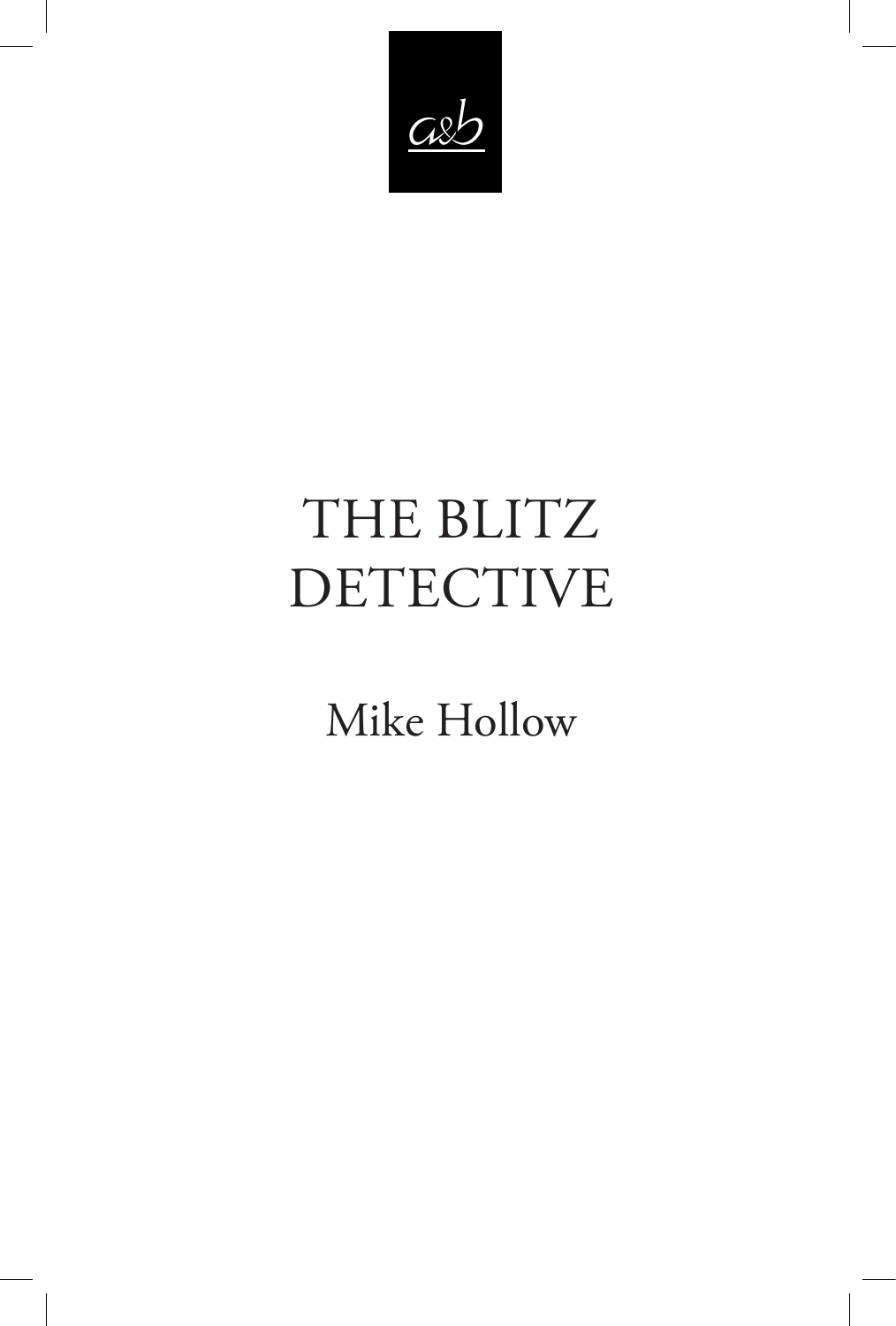

## THE BLITZ **DETECTIVE**

Mike Hollow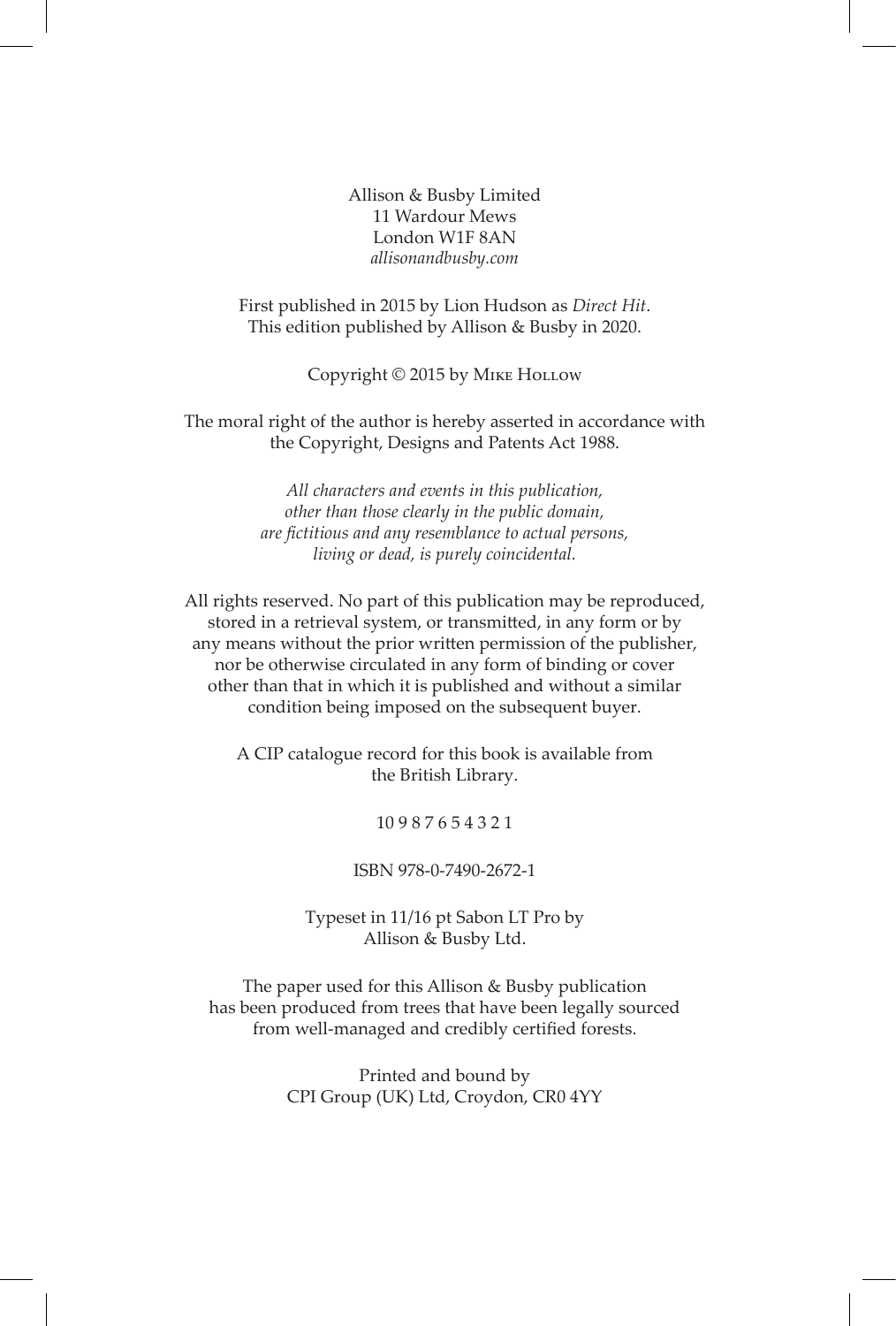Allison & Busby Limited 11 Wardour Mews London W1F 8AN *allisonandbusby.com*

First published in 2015 by Lion Hudson as *Direct Hit*. This edition published by Allison & Busby in 2020.

Copyright © 2015 by MIKE HOLLOW

The moral right of the author is hereby asserted in accordance with the Copyright, Designs and Patents Act 1988.

> *All characters and events in this publication, other than those clearly in the public domain, are fictitious and any resemblance to actual persons, living or dead, is purely coincidental.*

All rights reserved. No part of this publication may be reproduced, stored in a retrieval system, or transmitted, in any form or by any means without the prior written permission of the publisher, nor be otherwise circulated in any form of binding or cover other than that in which it is published and without a similar condition being imposed on the subsequent buyer.

A CIP catalogue record for this book is available from the British Library.

10 9 8 7 6 5 4 3 2 1

ISBN 978-0-7490-2672-1

Typeset in 11/16 pt Sabon LT Pro by Allison & Busby Ltd.

The paper used for this Allison & Busby publication has been produced from trees that have been legally sourced from well-managed and credibly certified forests.

> Printed and bound by CPI Group (UK) Ltd, Croydon, CR0 4YY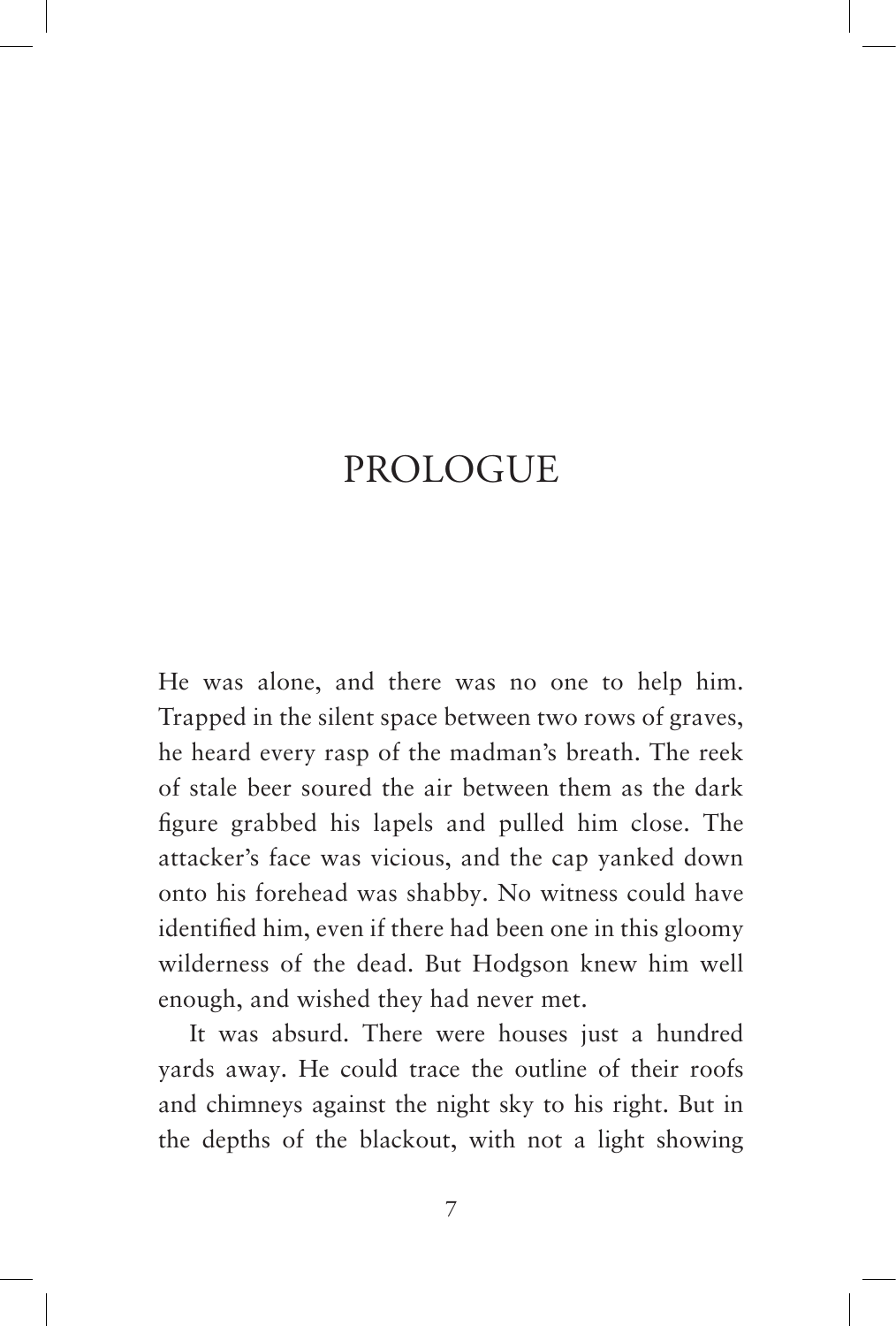## PROLOGUE

He was alone, and there was no one to help him. Trapped in the silent space between two rows of graves, he heard every rasp of the madman's breath. The reek of stale beer soured the air between them as the dark figure grabbed his lapels and pulled him close. The attacker's face was vicious, and the cap yanked down onto his forehead was shabby. No witness could have identified him, even if there had been one in this gloomy wilderness of the dead. But Hodgson knew him well enough, and wished they had never met.

It was absurd. There were houses just a hundred yards away. He could trace the outline of their roofs and chimneys against the night sky to his right. But in the depths of the blackout, with not a light showing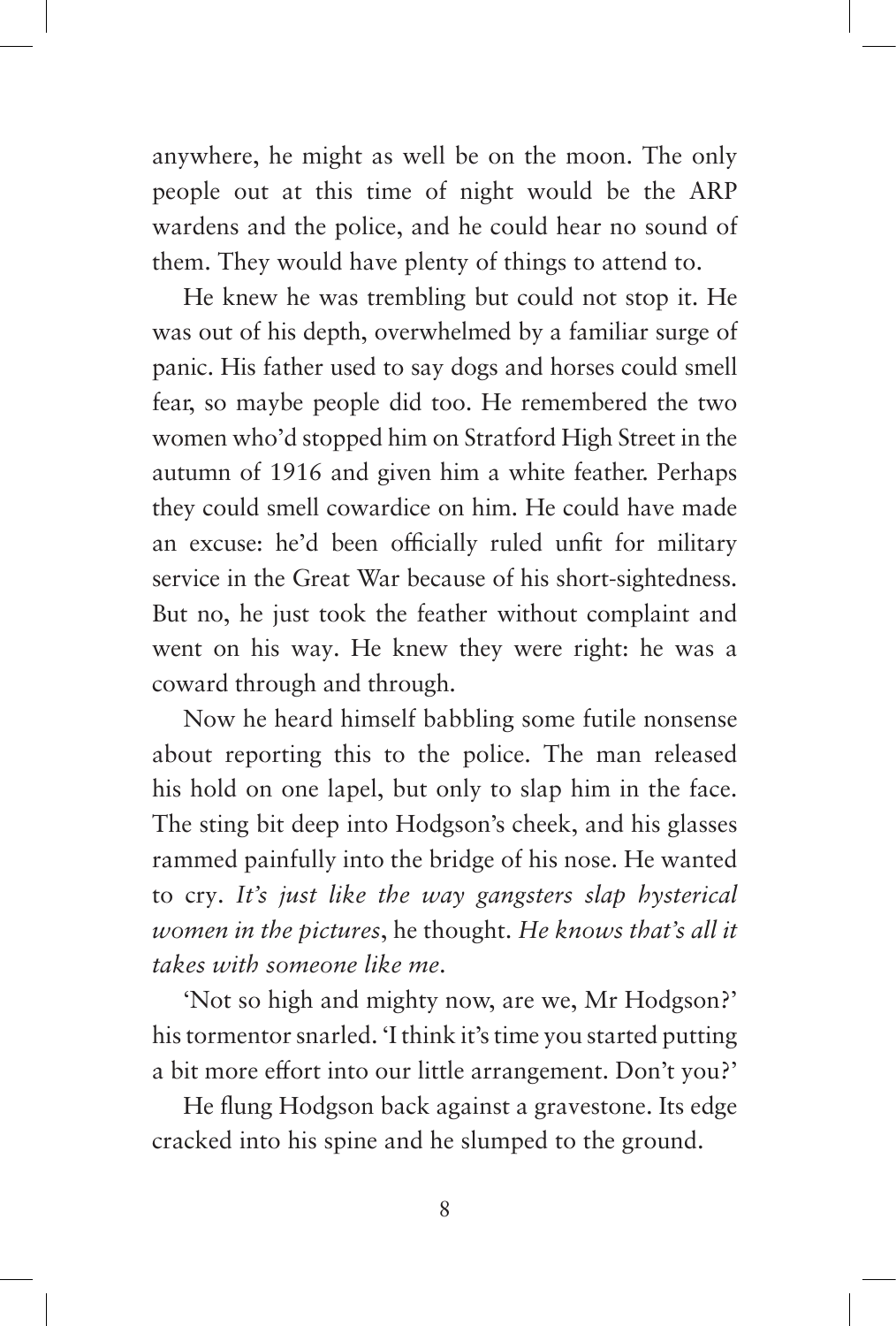anywhere, he might as well be on the moon. The only people out at this time of night would be the ARP wardens and the police, and he could hear no sound of them. They would have plenty of things to attend to.

He knew he was trembling but could not stop it. He was out of his depth, overwhelmed by a familiar surge of panic. His father used to say dogs and horses could smell fear, so maybe people did too. He remembered the two women who'd stopped him on Stratford High Street in the autumn of 1916 and given him a white feather. Perhaps they could smell cowardice on him. He could have made an excuse: he'd been officially ruled unfit for military service in the Great War because of his short-sightedness. But no, he just took the feather without complaint and went on his way. He knew they were right: he was a coward through and through.

Now he heard himself babbling some futile nonsense about reporting this to the police. The man released his hold on one lapel, but only to slap him in the face. The sting bit deep into Hodgson's cheek, and his glasses rammed painfully into the bridge of his nose. He wanted to cry. *It's just like the way gangsters slap hysterical women in the pictures*, he thought. *He knows that's all it takes with someone like me*.

'Not so high and mighty now, are we, Mr Hodgson?' his tormentor snarled. 'I think it's time you started putting a bit more effort into our little arrangement. Don't you?'

He flung Hodgson back against a gravestone. Its edge cracked into his spine and he slumped to the ground.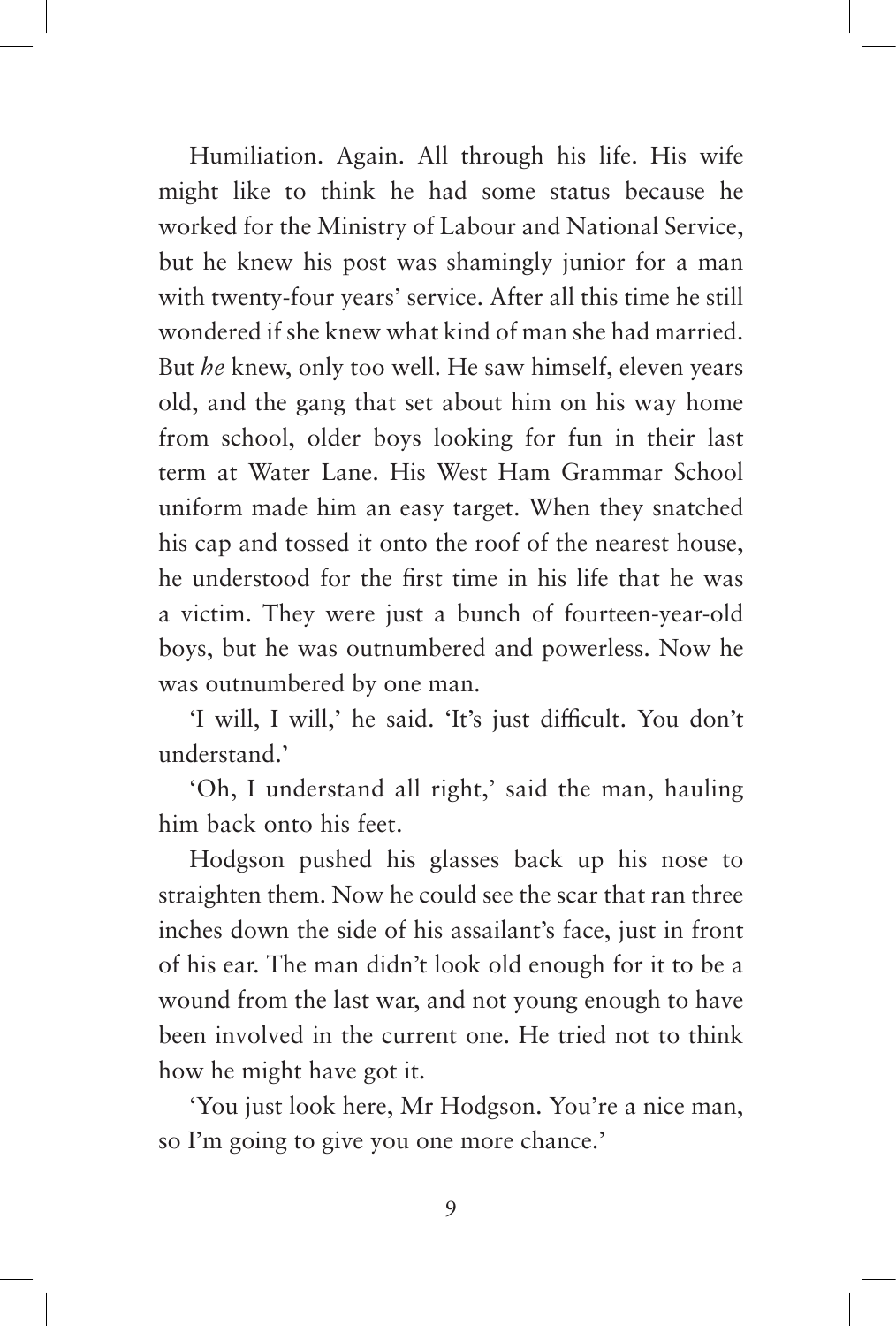Humiliation. Again. All through his life. His wife might like to think he had some status because he worked for the Ministry of Labour and National Service, but he knew his post was shamingly junior for a man with twenty-four years' service. After all this time he still wondered if she knew what kind of man she had married. But *he* knew, only too well. He saw himself, eleven years old, and the gang that set about him on his way home from school, older boys looking for fun in their last term at Water Lane. His West Ham Grammar School uniform made him an easy target. When they snatched his cap and tossed it onto the roof of the nearest house, he understood for the first time in his life that he was a victim. They were just a bunch of fourteen-year-old boys, but he was outnumbered and powerless. Now he was outnumbered by one man.

'I will, I will,' he said. 'It's just difficult. You don't understand.'

'Oh, I understand all right,' said the man, hauling him back onto his feet.

Hodgson pushed his glasses back up his nose to straighten them. Now he could see the scar that ran three inches down the side of his assailant's face, just in front of his ear. The man didn't look old enough for it to be a wound from the last war, and not young enough to have been involved in the current one. He tried not to think how he might have got it.

'You just look here, Mr Hodgson. You're a nice man, so I'm going to give you one more chance.'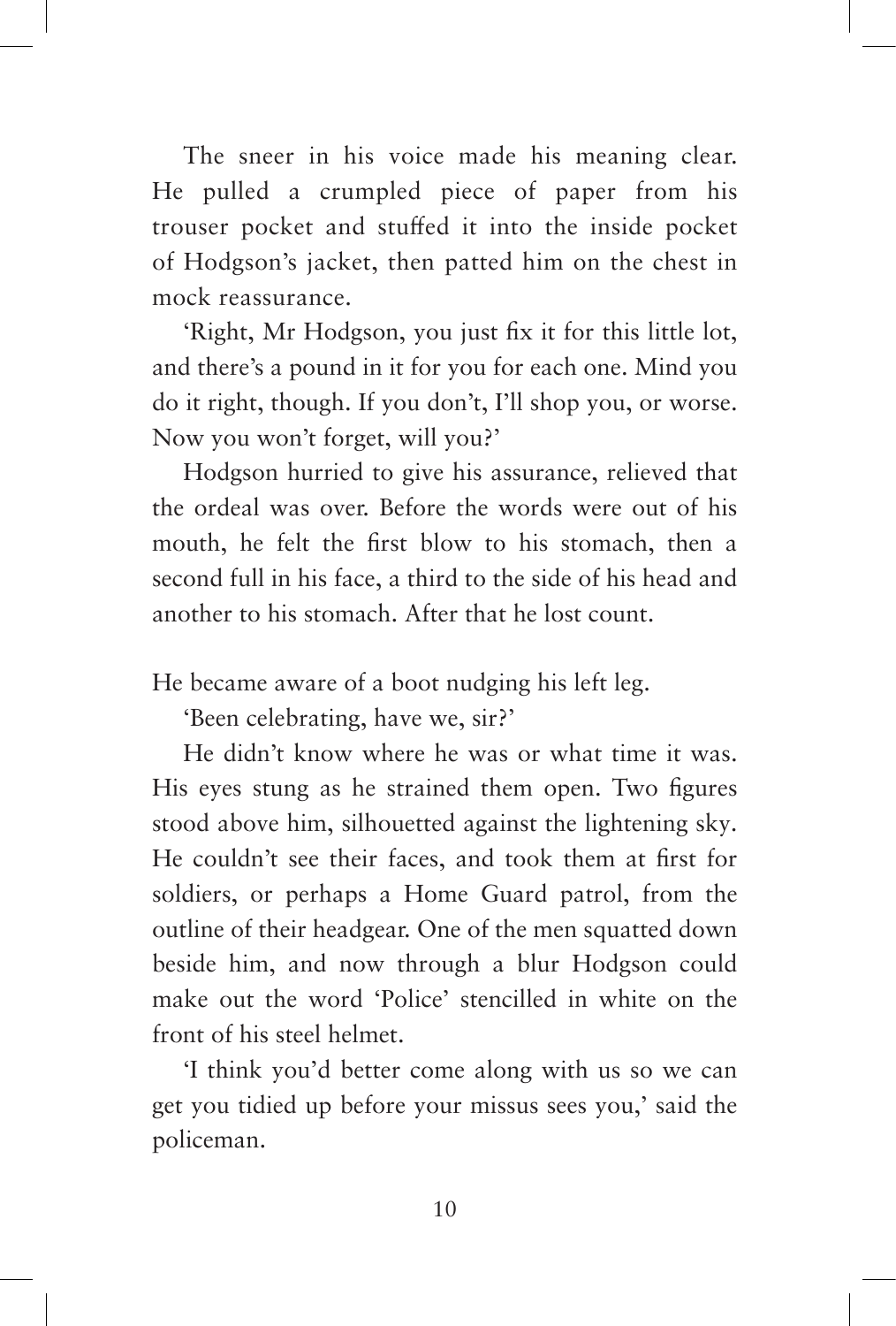The sneer in his voice made his meaning clear. He pulled a crumpled piece of paper from his trouser pocket and stuffed it into the inside pocket of Hodgson's jacket, then patted him on the chest in mock reassurance.

'Right, Mr Hodgson, you just fix it for this little lot, and there's a pound in it for you for each one. Mind you do it right, though. If you don't, I'll shop you, or worse. Now you won't forget, will you?'

Hodgson hurried to give his assurance, relieved that the ordeal was over. Before the words were out of his mouth, he felt the first blow to his stomach, then a second full in his face, a third to the side of his head and another to his stomach. After that he lost count.

He became aware of a boot nudging his left leg.

'Been celebrating, have we, sir?'

He didn't know where he was or what time it was. His eyes stung as he strained them open. Two figures stood above him, silhouetted against the lightening sky. He couldn't see their faces, and took them at first for soldiers, or perhaps a Home Guard patrol, from the outline of their headgear. One of the men squatted down beside him, and now through a blur Hodgson could make out the word 'Police' stencilled in white on the front of his steel helmet.

'I think you'd better come along with us so we can get you tidied up before your missus sees you,' said the policeman.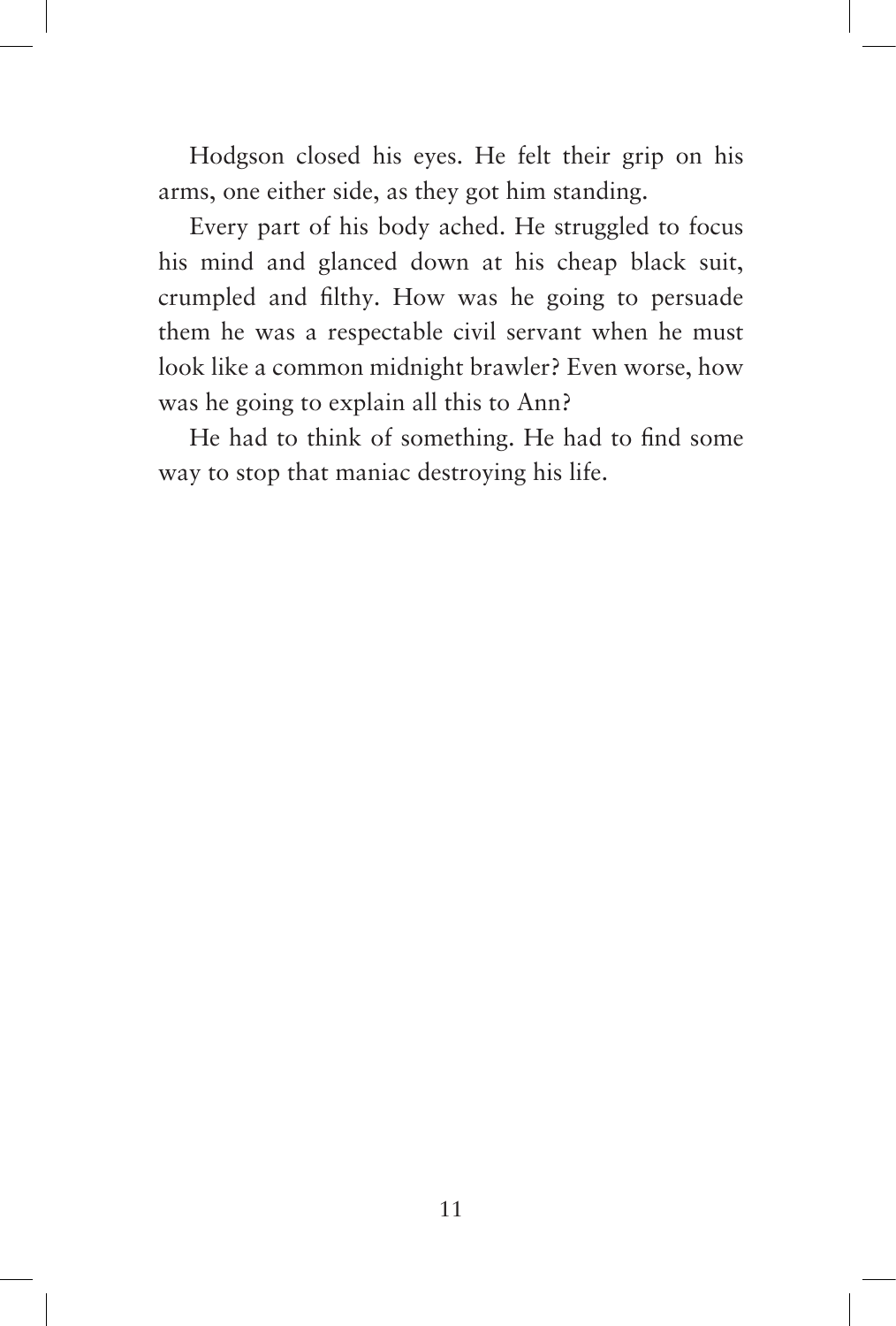Hodgson closed his eyes. He felt their grip on his arms, one either side, as they got him standing.

Every part of his body ached. He struggled to focus his mind and glanced down at his cheap black suit, crumpled and filthy. How was he going to persuade them he was a respectable civil servant when he must look like a common midnight brawler? Even worse, how was he going to explain all this to Ann?

He had to think of something. He had to find some way to stop that maniac destroying his life.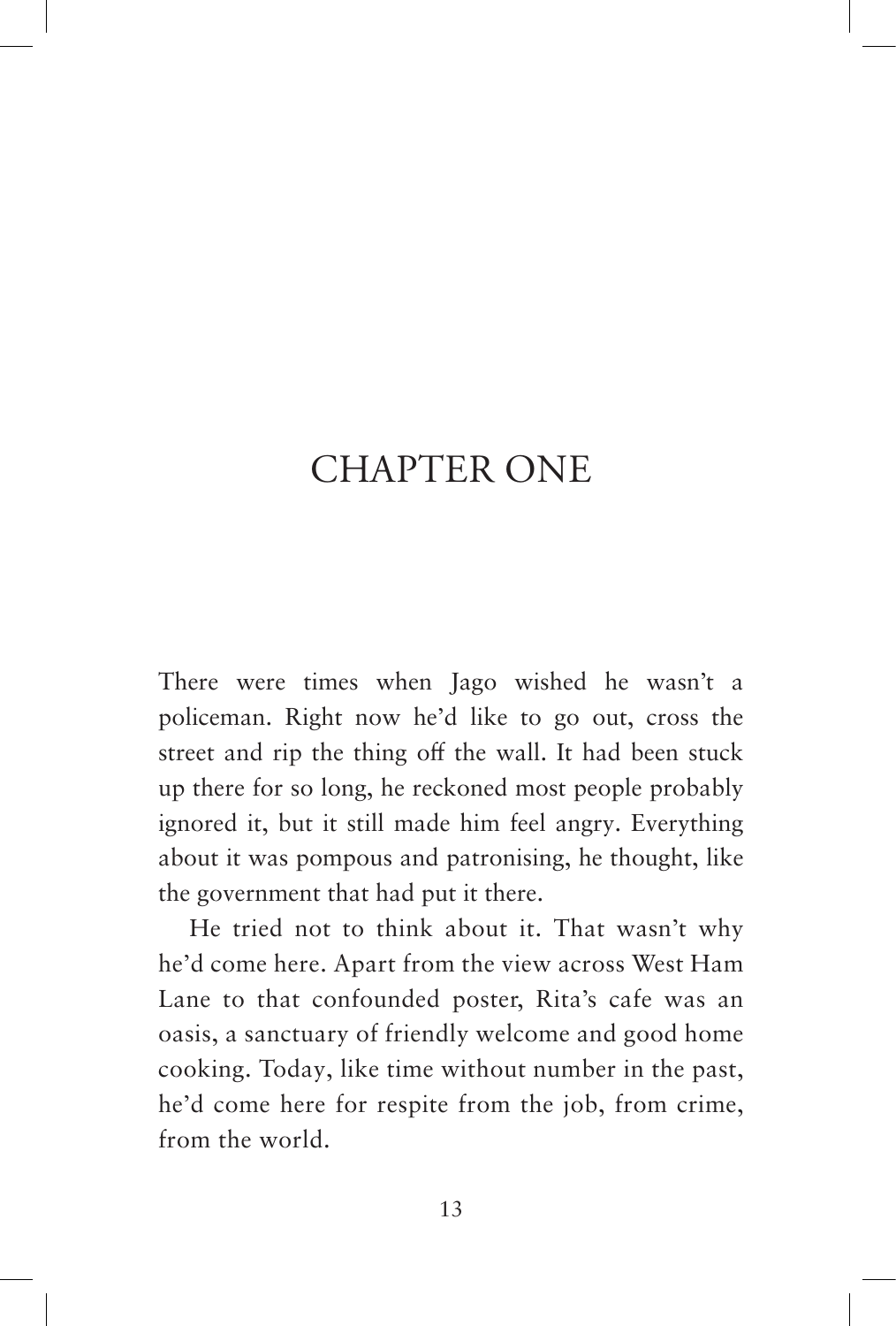## CHAPTER ONE

There were times when Jago wished he wasn't a policeman. Right now he'd like to go out, cross the street and rip the thing off the wall. It had been stuck up there for so long, he reckoned most people probably ignored it, but it still made him feel angry. Everything about it was pompous and patronising, he thought, like the government that had put it there.

He tried not to think about it. That wasn't why he'd come here. Apart from the view across West Ham Lane to that confounded poster, Rita's cafe was an oasis, a sanctuary of friendly welcome and good home cooking. Today, like time without number in the past, he'd come here for respite from the job, from crime, from the world.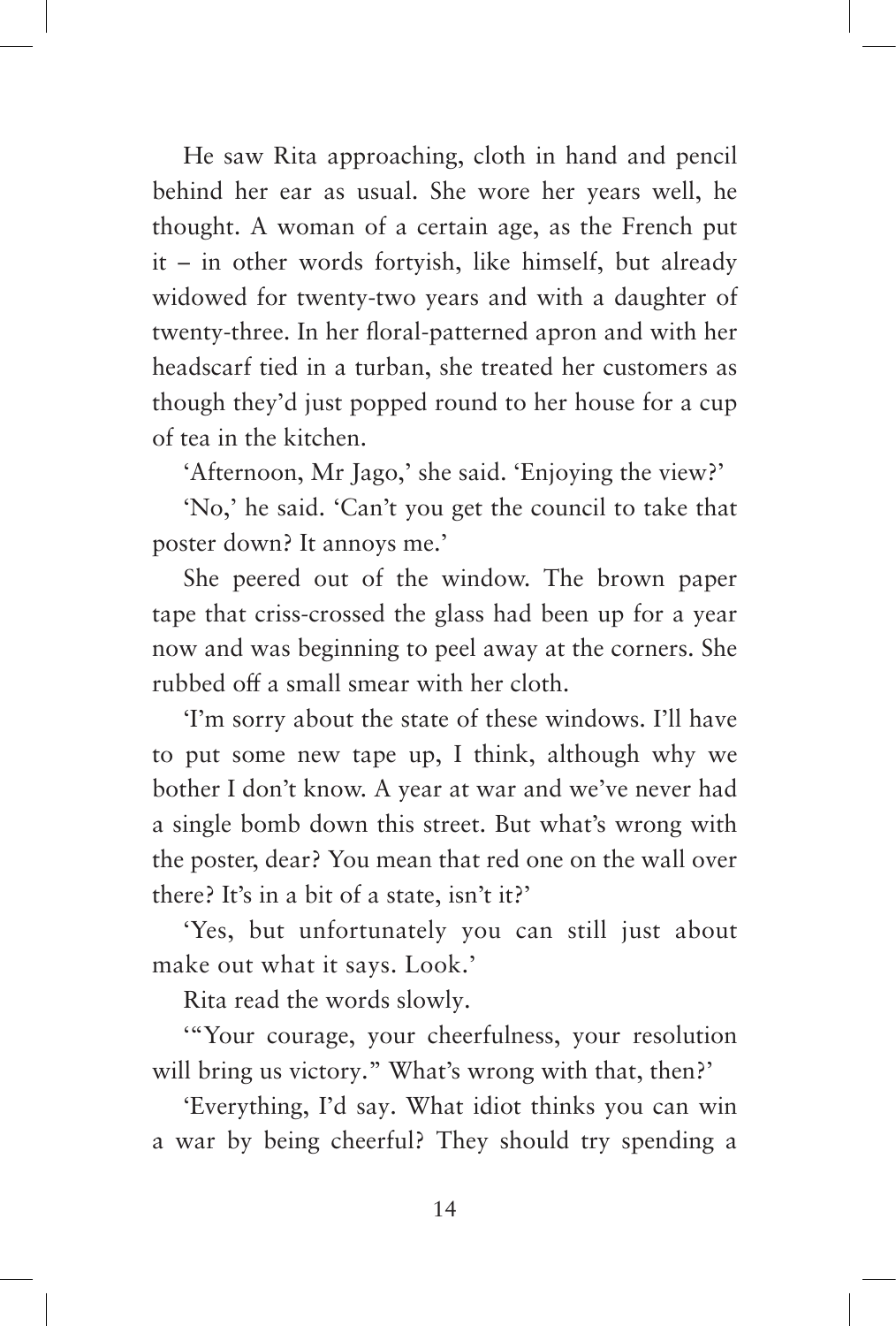He saw Rita approaching, cloth in hand and pencil behind her ear as usual. She wore her years well, he thought. A woman of a certain age, as the French put it – in other words fortyish, like himself, but already widowed for twenty-two years and with a daughter of twenty-three. In her floral-patterned apron and with her headscarf tied in a turban, she treated her customers as though they'd just popped round to her house for a cup of tea in the kitchen.

'Afternoon, Mr Jago,' she said. 'Enjoying the view?'

'No,' he said. 'Can't you get the council to take that poster down? It annoys me.'

She peered out of the window. The brown paper tape that criss-crossed the glass had been up for a year now and was beginning to peel away at the corners. She rubbed off a small smear with her cloth.

'I'm sorry about the state of these windows. I'll have to put some new tape up, I think, although why we bother I don't know. A year at war and we've never had a single bomb down this street. But what's wrong with the poster, dear? You mean that red one on the wall over there? It's in a bit of a state, isn't it?'

'Yes, but unfortunately you can still just about make out what it says. Look.'

Rita read the words slowly.

'"Your courage, your cheerfulness, your resolution will bring us victory." What's wrong with that, then?'

'Everything, I'd say. What idiot thinks you can win a war by being cheerful? They should try spending a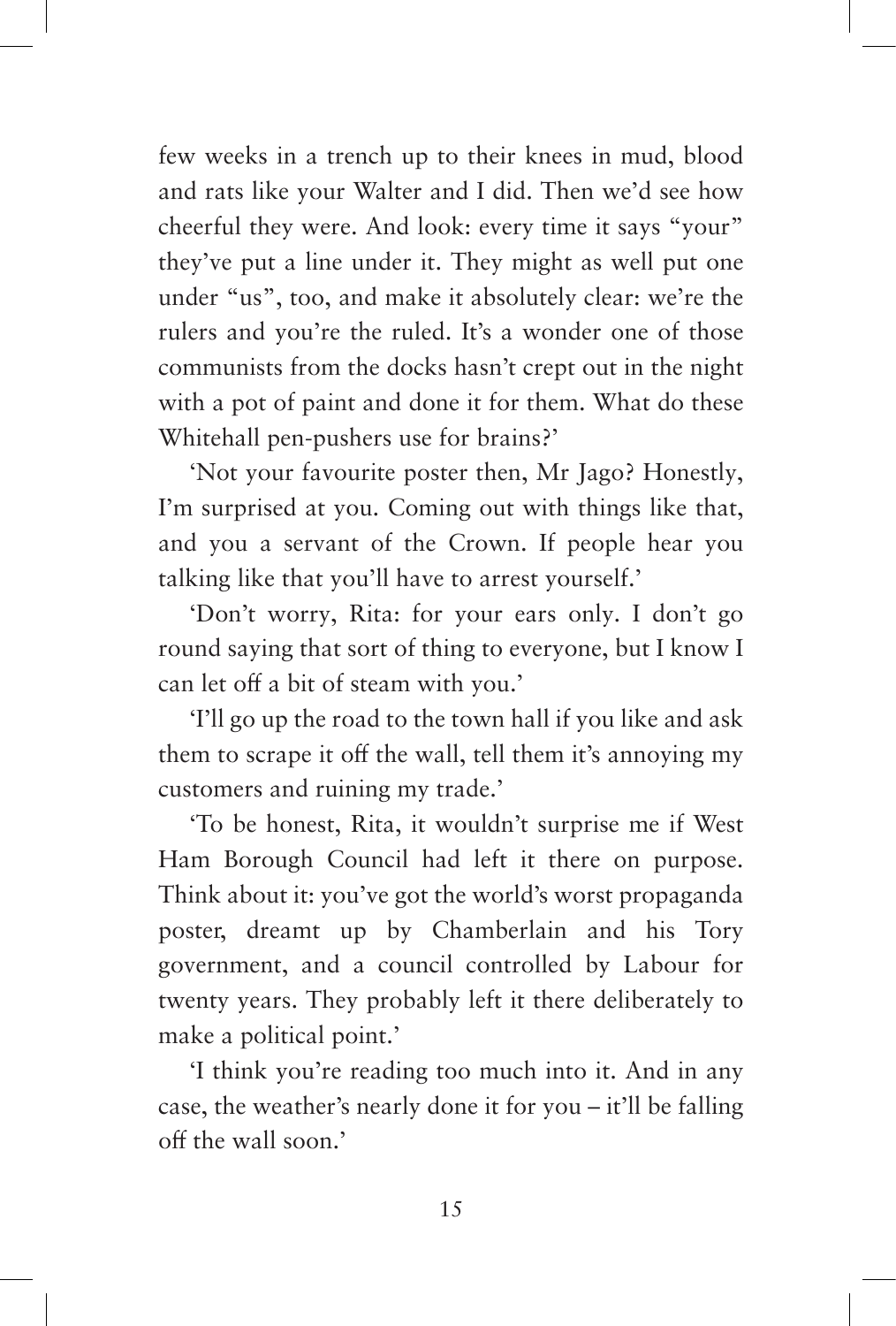few weeks in a trench up to their knees in mud, blood and rats like your Walter and I did. Then we'd see how cheerful they were. And look: every time it says "your" they've put a line under it. They might as well put one under "us", too, and make it absolutely clear: we're the rulers and you're the ruled. It's a wonder one of those communists from the docks hasn't crept out in the night with a pot of paint and done it for them. What do these Whitehall pen-pushers use for brains?'

'Not your favourite poster then, Mr Jago? Honestly, I'm surprised at you. Coming out with things like that, and you a servant of the Crown. If people hear you talking like that you'll have to arrest yourself.'

'Don't worry, Rita: for your ears only. I don't go round saying that sort of thing to everyone, but I know I can let off a bit of steam with you.'

'I'll go up the road to the town hall if you like and ask them to scrape it off the wall, tell them it's annoying my customers and ruining my trade.'

'To be honest, Rita, it wouldn't surprise me if West Ham Borough Council had left it there on purpose. Think about it: you've got the world's worst propaganda poster, dreamt up by Chamberlain and his Tory government, and a council controlled by Labour for twenty years. They probably left it there deliberately to make a political point.'

'I think you're reading too much into it. And in any case, the weather's nearly done it for you – it'll be falling off the wall soon.'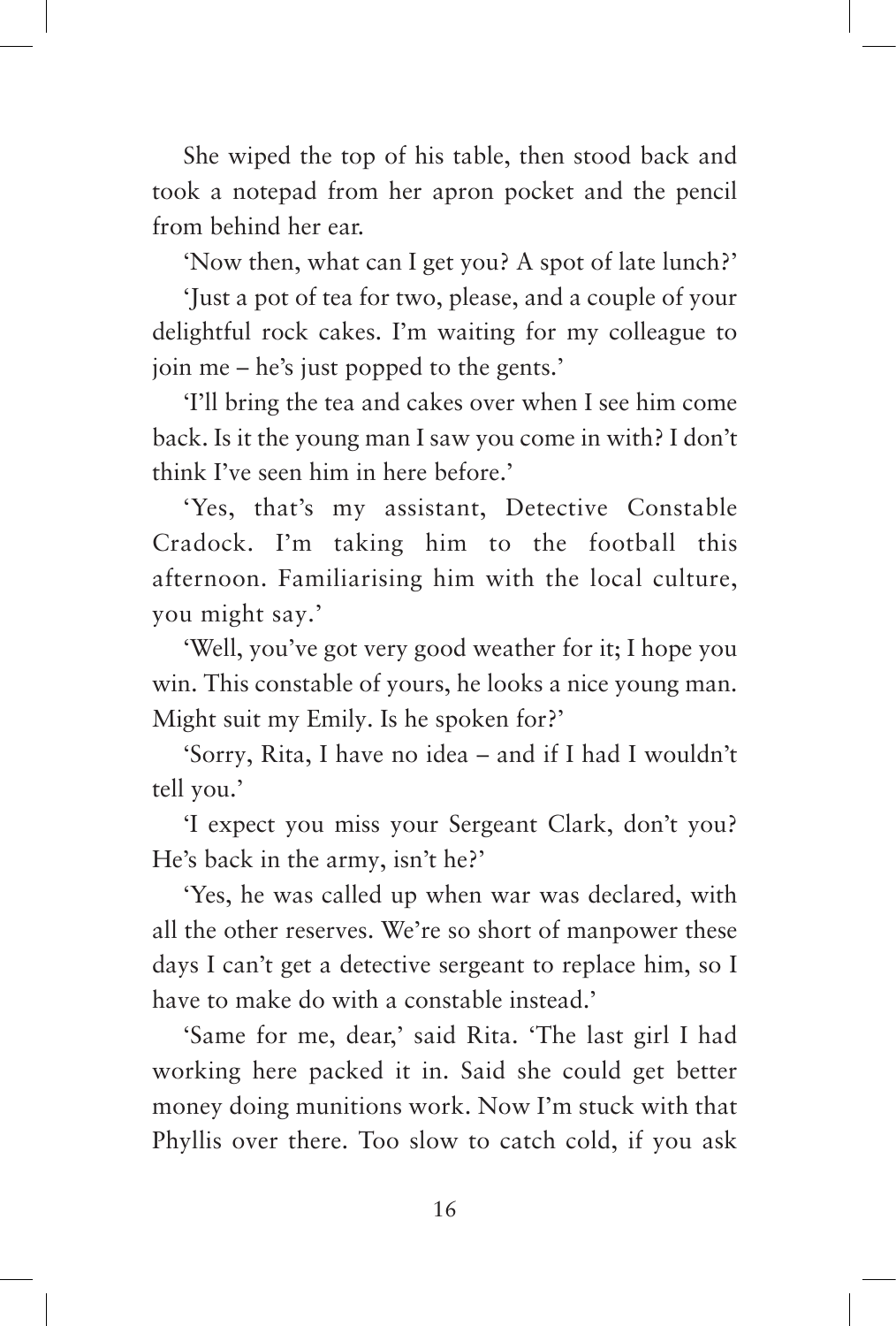She wiped the top of his table, then stood back and took a notepad from her apron pocket and the pencil from behind her ear.

'Now then, what can I get you? A spot of late lunch?'

'Just a pot of tea for two, please, and a couple of your delightful rock cakes. I'm waiting for my colleague to join me – he's just popped to the gents.'

'I'll bring the tea and cakes over when I see him come back. Is it the young man I saw you come in with? I don't think I've seen him in here before.'

'Yes, that's my assistant, Detective Constable Cradock. I'm taking him to the football this afternoon. Familiarising him with the local culture, you might say.'

'Well, you've got very good weather for it; I hope you win. This constable of yours, he looks a nice young man. Might suit my Emily. Is he spoken for?'

'Sorry, Rita, I have no idea – and if I had I wouldn't tell you.'

'I expect you miss your Sergeant Clark, don't you? He's back in the army, isn't he?'

'Yes, he was called up when war was declared, with all the other reserves. We're so short of manpower these days I can't get a detective sergeant to replace him, so I have to make do with a constable instead.'

'Same for me, dear,' said Rita. 'The last girl I had working here packed it in. Said she could get better money doing munitions work. Now I'm stuck with that Phyllis over there. Too slow to catch cold, if you ask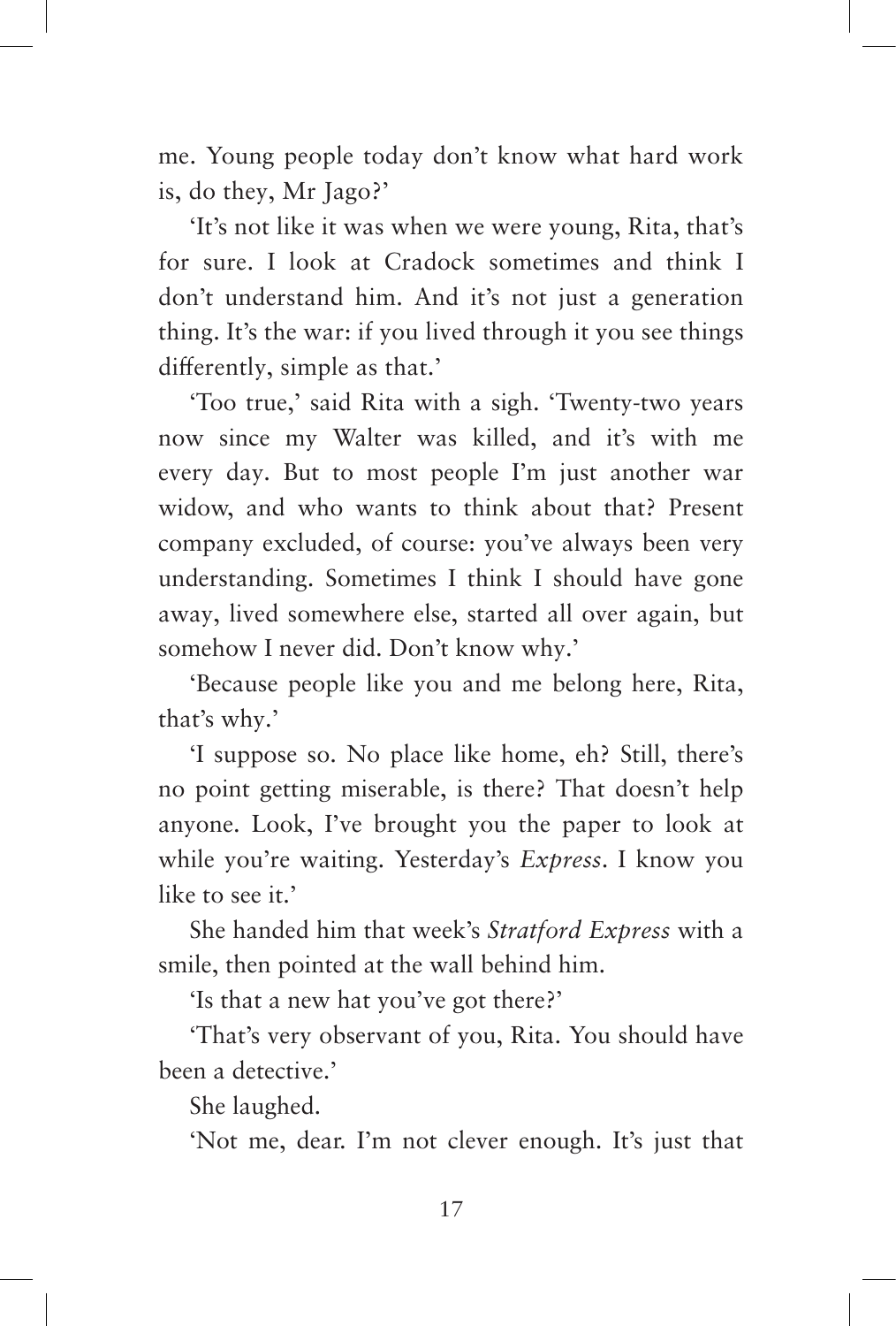me. Young people today don't know what hard work is, do they, Mr Jago?'

'It's not like it was when we were young, Rita, that's for sure. I look at Cradock sometimes and think I don't understand him. And it's not just a generation thing. It's the war: if you lived through it you see things differently, simple as that.'

'Too true,' said Rita with a sigh. 'Twenty-two years now since my Walter was killed, and it's with me every day. But to most people I'm just another war widow, and who wants to think about that? Present company excluded, of course: you've always been very understanding. Sometimes I think I should have gone away, lived somewhere else, started all over again, but somehow I never did. Don't know why.'

'Because people like you and me belong here, Rita, that's why.'

'I suppose so. No place like home, eh? Still, there's no point getting miserable, is there? That doesn't help anyone. Look, I've brought you the paper to look at while you're waiting. Yesterday's *Express*. I know you like to see it.'

She handed him that week's *Stratford Express* with a smile, then pointed at the wall behind him.

'Is that a new hat you've got there?'

'That's very observant of you, Rita. You should have been a detective.'

She laughed.

'Not me, dear. I'm not clever enough. It's just that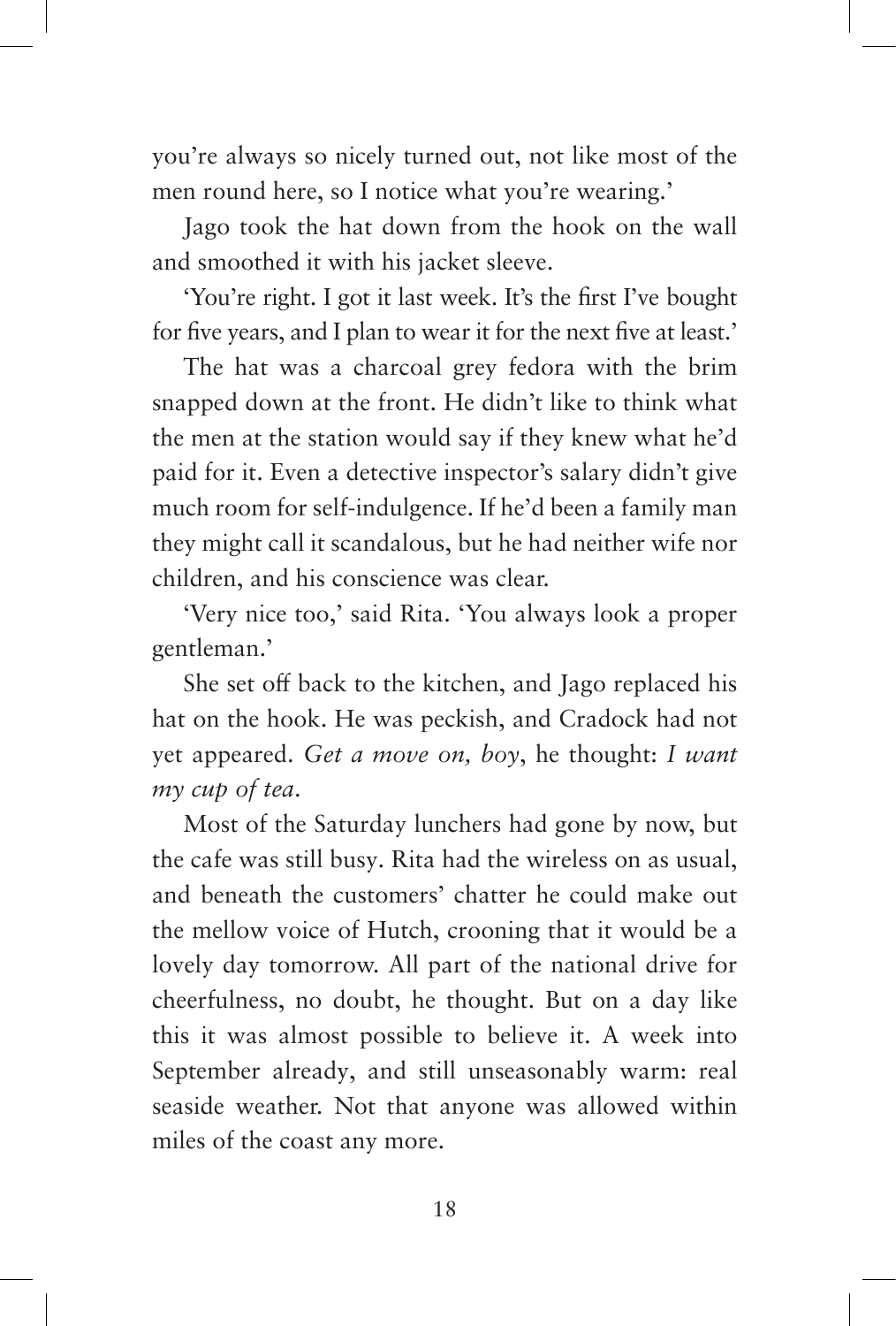you're always so nicely turned out, not like most of the men round here, so I notice what you're wearing.'

Jago took the hat down from the hook on the wall and smoothed it with his jacket sleeve.

'You're right. I got it last week. It's the first I've bought for five years, and I plan to wear it for the next five at least.'

The hat was a charcoal grey fedora with the brim snapped down at the front. He didn't like to think what the men at the station would say if they knew what he'd paid for it. Even a detective inspector's salary didn't give much room for self-indulgence. If he'd been a family man they might call it scandalous, but he had neither wife nor children, and his conscience was clear.

'Very nice too,' said Rita. 'You always look a proper gentleman.'

She set off back to the kitchen, and Jago replaced his hat on the hook. He was peckish, and Cradock had not yet appeared. *Get a move on, boy*, he thought: *I want my cup of tea*.

Most of the Saturday lunchers had gone by now, but the cafe was still busy. Rita had the wireless on as usual, and beneath the customers' chatter he could make out the mellow voice of Hutch, crooning that it would be a lovely day tomorrow. All part of the national drive for cheerfulness, no doubt, he thought. But on a day like this it was almost possible to believe it. A week into September already, and still unseasonably warm: real seaside weather. Not that anyone was allowed within miles of the coast any more.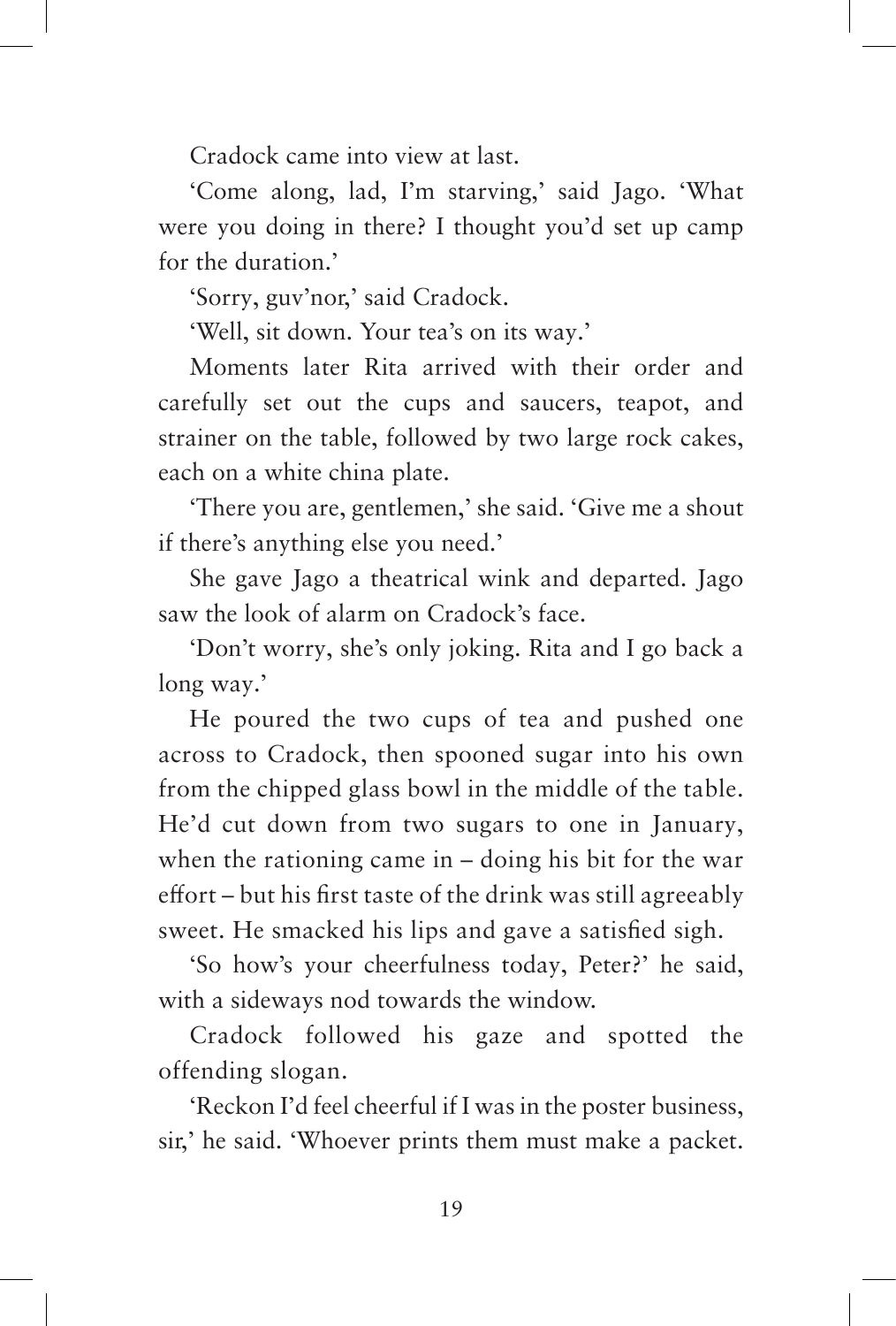Cradock came into view at last.

'Come along, lad, I'm starving,' said Jago. 'What were you doing in there? I thought you'd set up camp for the duration.'

'Sorry, guv'nor,' said Cradock.

'Well, sit down. Your tea's on its way.'

Moments later Rita arrived with their order and carefully set out the cups and saucers, teapot, and strainer on the table, followed by two large rock cakes, each on a white china plate.

'There you are, gentlemen,' she said. 'Give me a shout if there's anything else you need.'

She gave Jago a theatrical wink and departed. Jago saw the look of alarm on Cradock's face.

'Don't worry, she's only joking. Rita and I go back a long way.'

He poured the two cups of tea and pushed one across to Cradock, then spooned sugar into his own from the chipped glass bowl in the middle of the table. He'd cut down from two sugars to one in January, when the rationing came in – doing his bit for the war effort – but his first taste of the drink was still agreeably sweet. He smacked his lips and gave a satisfied sigh.

'So how's your cheerfulness today, Peter?' he said, with a sideways nod towards the window.

Cradock followed his gaze and spotted the offending slogan.

'Reckon I'd feel cheerful if I was in the poster business, sir,' he said. 'Whoever prints them must make a packet.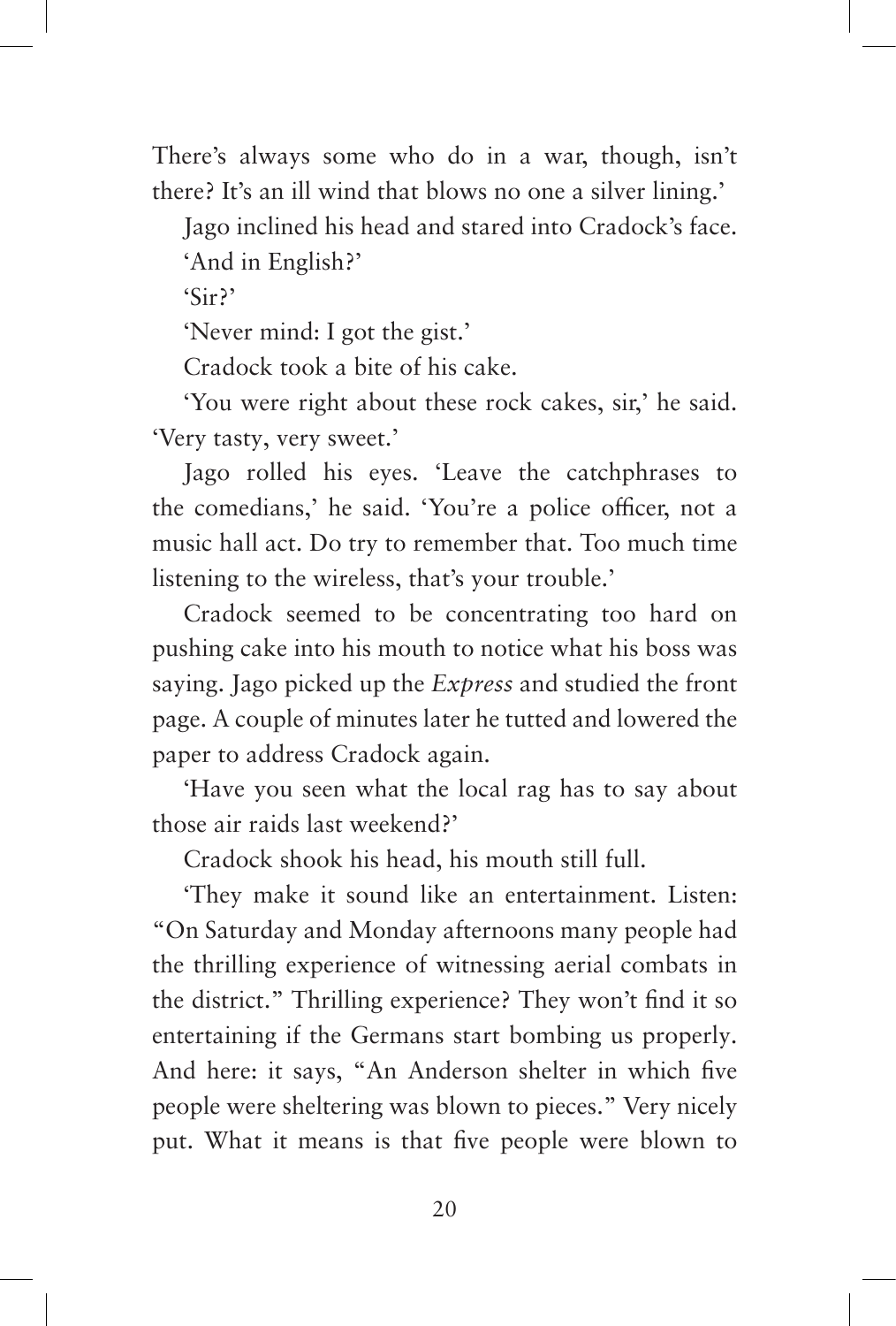There's always some who do in a war, though, isn't there? It's an ill wind that blows no one a silver lining.'

Jago inclined his head and stared into Cradock's face.

'And in English?'

'Sir?'

'Never mind: I got the gist.'

Cradock took a bite of his cake.

'You were right about these rock cakes, sir,' he said. 'Very tasty, very sweet.'

Jago rolled his eyes. 'Leave the catchphrases to the comedians,' he said. 'You're a police officer, not a music hall act. Do try to remember that. Too much time listening to the wireless, that's your trouble.'

Cradock seemed to be concentrating too hard on pushing cake into his mouth to notice what his boss was saying. Jago picked up the *Express* and studied the front page. A couple of minutes later he tutted and lowered the paper to address Cradock again.

'Have you seen what the local rag has to say about those air raids last weekend?'

Cradock shook his head, his mouth still full.

'They make it sound like an entertainment. Listen: "On Saturday and Monday afternoons many people had the thrilling experience of witnessing aerial combats in the district." Thrilling experience? They won't find it so entertaining if the Germans start bombing us properly. And here: it says, "An Anderson shelter in which five people were sheltering was blown to pieces." Very nicely put. What it means is that five people were blown to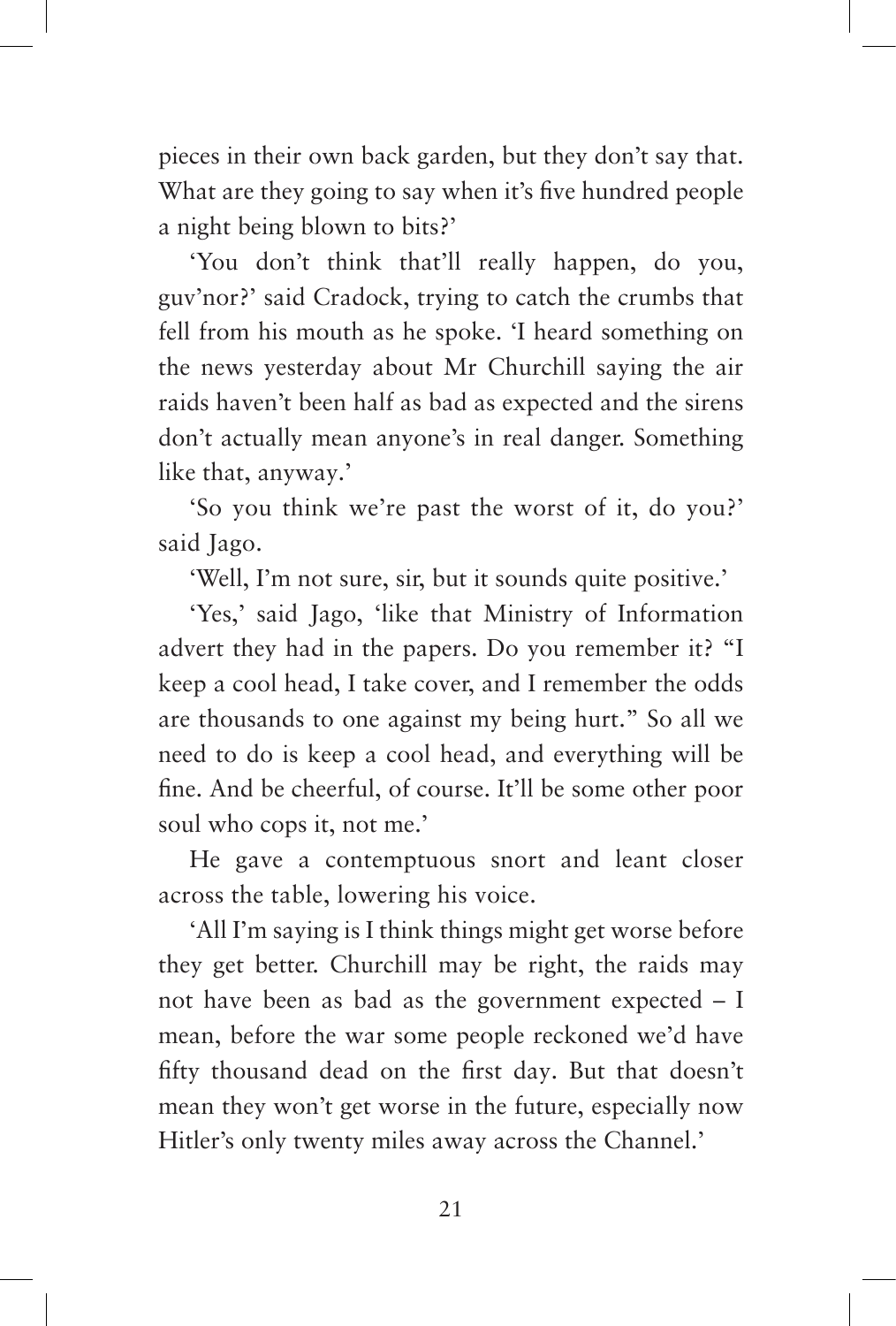pieces in their own back garden, but they don't say that. What are they going to say when it's five hundred people a night being blown to bits?'

'You don't think that'll really happen, do you, guv'nor?' said Cradock, trying to catch the crumbs that fell from his mouth as he spoke. 'I heard something on the news yesterday about Mr Churchill saying the air raids haven't been half as bad as expected and the sirens don't actually mean anyone's in real danger. Something like that, anyway.'

'So you think we're past the worst of it, do you?' said Jago.

'Well, I'm not sure, sir, but it sounds quite positive.'

'Yes,' said Jago, 'like that Ministry of Information advert they had in the papers. Do you remember it? "I keep a cool head, I take cover, and I remember the odds are thousands to one against my being hurt." So all we need to do is keep a cool head, and everything will be fine. And be cheerful, of course. It'll be some other poor soul who cops it, not me.'

He gave a contemptuous snort and leant closer across the table, lowering his voice.

'All I'm saying is I think things might get worse before they get better. Churchill may be right, the raids may not have been as bad as the government expected – I mean, before the war some people reckoned we'd have fifty thousand dead on the first day. But that doesn't mean they won't get worse in the future, especially now Hitler's only twenty miles away across the Channel.'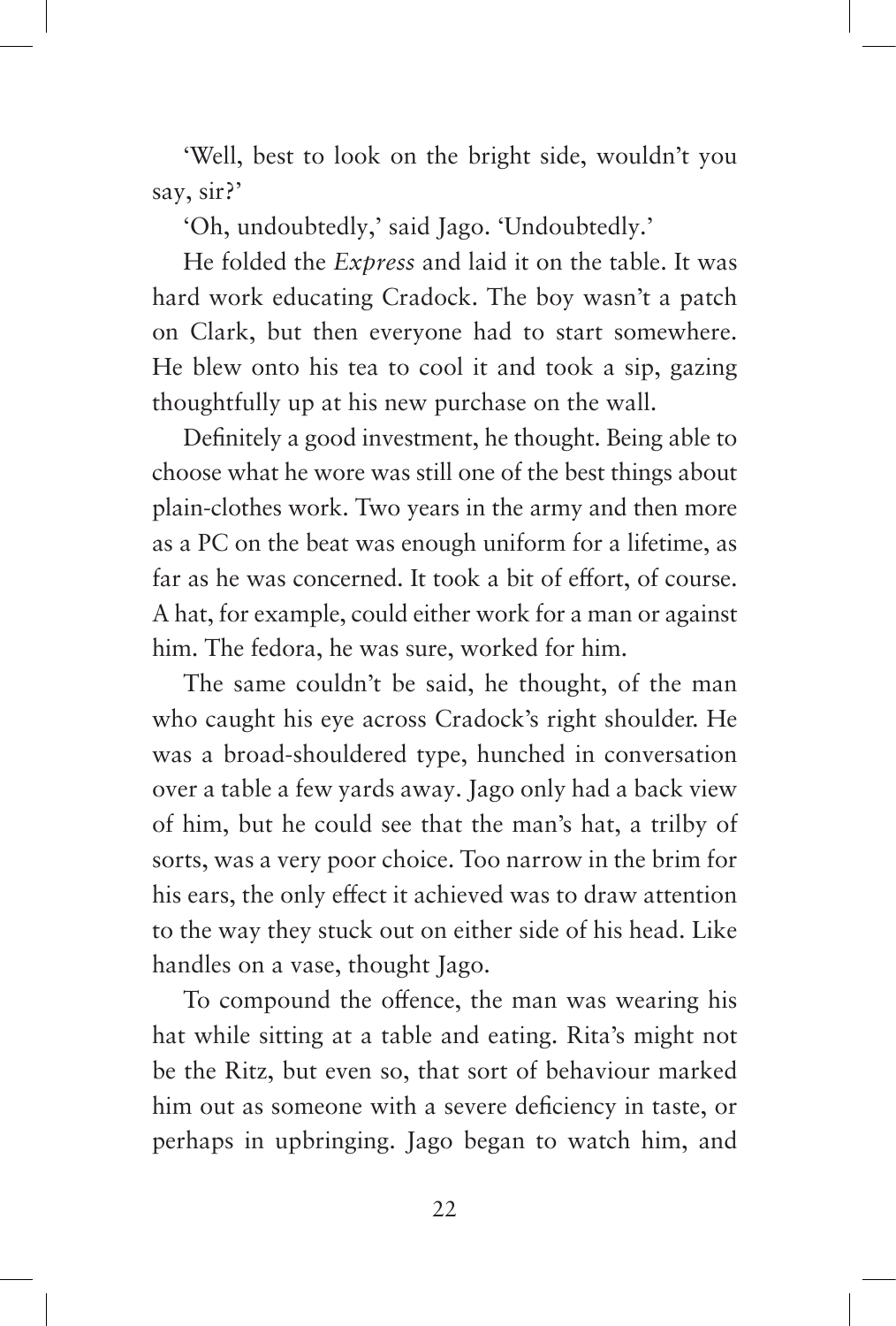'Well, best to look on the bright side, wouldn't you say, sir?'

'Oh, undoubtedly,' said Jago. 'Undoubtedly.'

He folded the *Express* and laid it on the table. It was hard work educating Cradock. The boy wasn't a patch on Clark, but then everyone had to start somewhere. He blew onto his tea to cool it and took a sip, gazing thoughtfully up at his new purchase on the wall.

Definitely a good investment, he thought. Being able to choose what he wore was still one of the best things about plain-clothes work. Two years in the army and then more as a PC on the beat was enough uniform for a lifetime, as far as he was concerned. It took a bit of effort, of course. A hat, for example, could either work for a man or against him. The fedora, he was sure, worked for him.

The same couldn't be said, he thought, of the man who caught his eye across Cradock's right shoulder. He was a broad-shouldered type, hunched in conversation over a table a few yards away. Jago only had a back view of him, but he could see that the man's hat, a trilby of sorts, was a very poor choice. Too narrow in the brim for his ears, the only effect it achieved was to draw attention to the way they stuck out on either side of his head. Like handles on a vase, thought Jago.

To compound the offence, the man was wearing his hat while sitting at a table and eating. Rita's might not be the Ritz, but even so, that sort of behaviour marked him out as someone with a severe deficiency in taste, or perhaps in upbringing. Jago began to watch him, and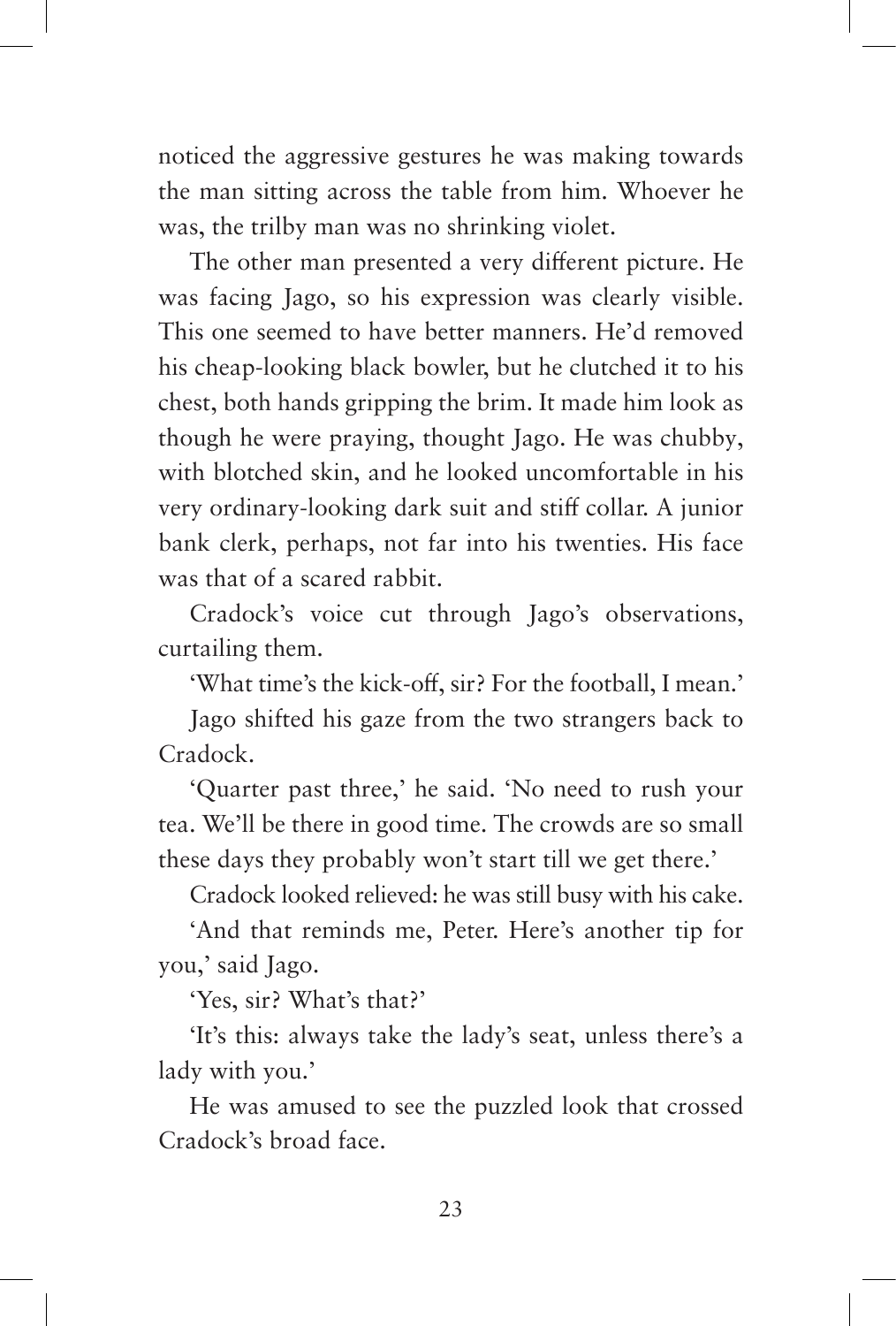noticed the aggressive gestures he was making towards the man sitting across the table from him. Whoever he was, the trilby man was no shrinking violet.

The other man presented a very different picture. He was facing Jago, so his expression was clearly visible. This one seemed to have better manners. He'd removed his cheap-looking black bowler, but he clutched it to his chest, both hands gripping the brim. It made him look as though he were praying, thought Jago. He was chubby, with blotched skin, and he looked uncomfortable in his very ordinary-looking dark suit and stiff collar. A junior bank clerk, perhaps, not far into his twenties. His face was that of a scared rabbit.

Cradock's voice cut through Jago's observations, curtailing them.

'What time's the kick-off, sir? For the football, I mean.'

Jago shifted his gaze from the two strangers back to Cradock.

'Quarter past three,' he said. 'No need to rush your tea. We'll be there in good time. The crowds are so small these days they probably won't start till we get there.'

Cradock looked relieved: he was still busy with his cake.

'And that reminds me, Peter. Here's another tip for you,' said Jago.

'Yes, sir? What's that?'

'It's this: always take the lady's seat, unless there's a lady with you.'

He was amused to see the puzzled look that crossed Cradock's broad face.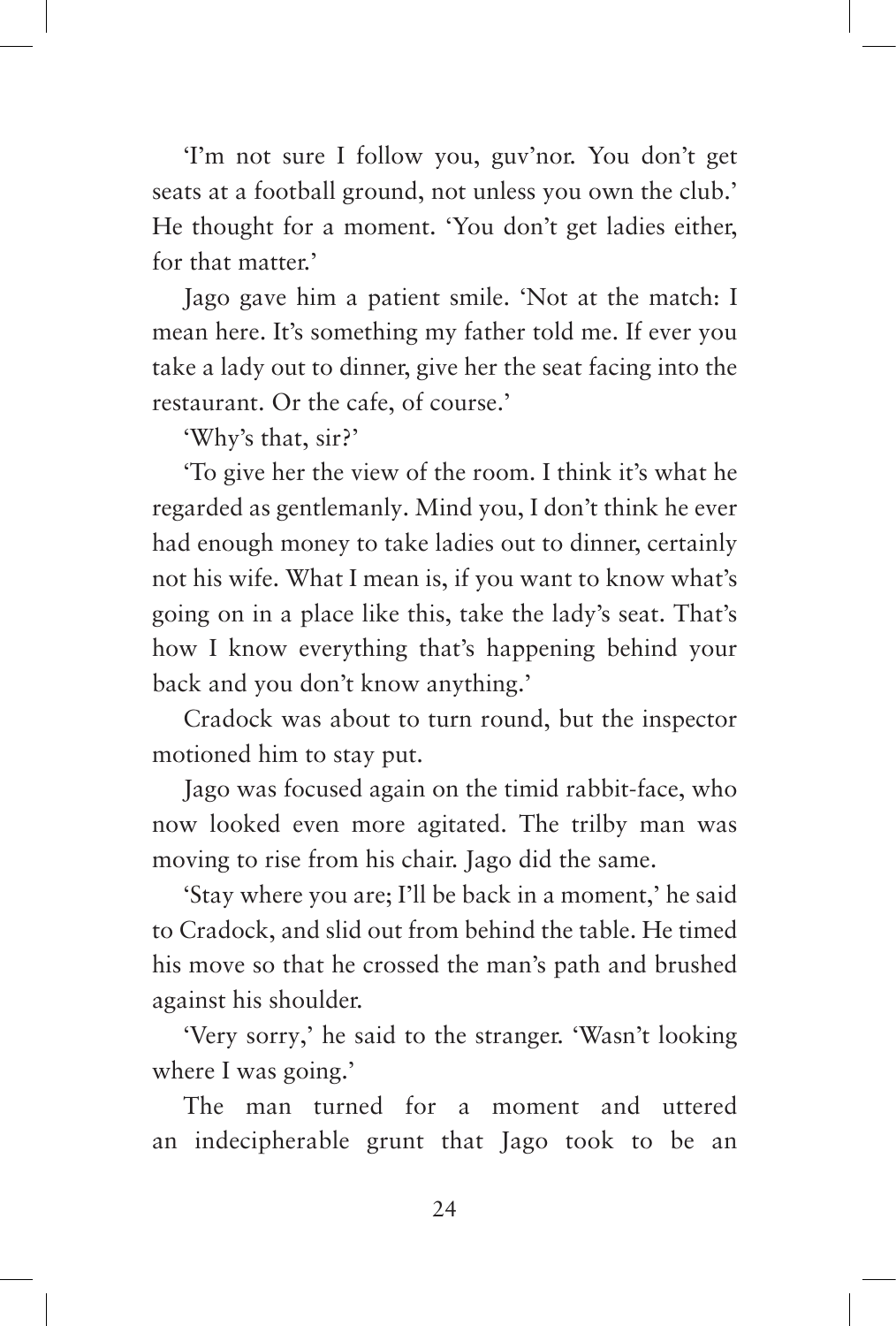'I'm not sure I follow you, guv'nor. You don't get seats at a football ground, not unless you own the club.' He thought for a moment. 'You don't get ladies either, for that matter.'

Jago gave him a patient smile. 'Not at the match: I mean here. It's something my father told me. If ever you take a lady out to dinner, give her the seat facing into the restaurant. Or the cafe, of course.'

'Why's that, sir?'

'To give her the view of the room. I think it's what he regarded as gentlemanly. Mind you, I don't think he ever had enough money to take ladies out to dinner, certainly not his wife. What I mean is, if you want to know what's going on in a place like this, take the lady's seat. That's how I know everything that's happening behind your back and you don't know anything.'

Cradock was about to turn round, but the inspector motioned him to stay put.

Jago was focused again on the timid rabbit-face, who now looked even more agitated. The trilby man was moving to rise from his chair. Jago did the same.

'Stay where you are; I'll be back in a moment,' he said to Cradock, and slid out from behind the table. He timed his move so that he crossed the man's path and brushed against his shoulder.

'Very sorry,' he said to the stranger. 'Wasn't looking where I was going.'

The man turned for a moment and uttered an indecipherable grunt that Jago took to be an